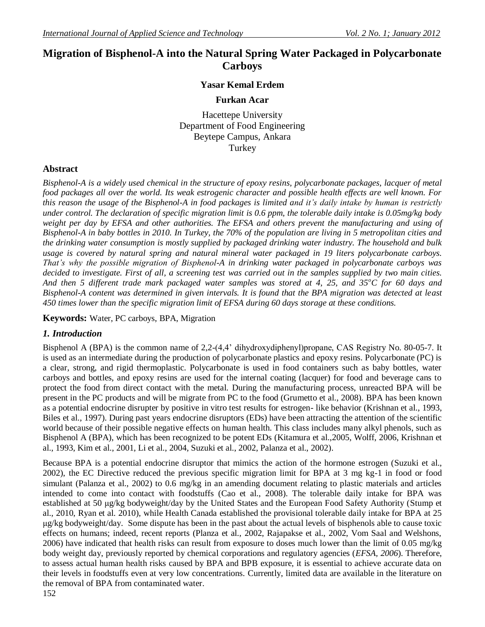# **Migration of Bisphenol-A into the Natural Spring Water Packaged in Polycarbonate Carboys**

### **Yasar Kemal Erdem**

#### **Furkan Acar**

Hacettepe University Department of Food Engineering Beytepe Campus, Ankara Turkey

#### **Abstract**

*Bisphenol-A is a widely used chemical in the structure of epoxy resins, polycarbonate packages, lacquer of metal food packages all over the world. Its weak estrogenic character and possible health effects are well known. For this reason the usage of the Bisphenol-A in food packages is limited and it's daily intake by human is restrictly under control. The declaration of specific migration limit is 0.6 ppm, the tolerable daily intake is 0.05mg/kg body weight per day by EFSA and other authorities. The EFSA and others prevent the manufacturing and using of Bisphenol-A in baby bottles in 2010. In Turkey, the 70% of the population are living in 5 metropolitan cities and the drinking water consumption is mostly supplied by packaged drinking water industry. The household and bulk usage is covered by natural spring and natural mineral water packaged in 19 liters polycarbonate carboys. That's why the possible migration of Bisphenol-A in drinking water packaged in polycarbonate carboys was decided to investigate. First of all, a screening test was carried out in the samples supplied by two main cities. And then 5 different trade mark packaged water samples was stored at 4, 25, and 35<sup>o</sup>C for 60 days and Bisphenol-A content was determined in given intervals. It is found that the BPA migration was detected at least 450 times lower than the specific migration limit of EFSA during 60 days storage at these conditions.* 

**Keywords:** Water, PC carboys, BPA, Migration

#### *1. Introduction*

Bisphenol A (BPA) is the common name of 2,2-(4,4' dihydroxydiphenyl)propane, CAS Registry No. 80-05-7. It is used as an intermediate during the production of polycarbonate plastics and epoxy resins. Polycarbonate (PC) is a clear, strong, and rigid thermoplastic. Polycarbonate is used in food containers such as baby bottles, water carboys and bottles, and epoxy resins are used for the internal coating (lacquer) for food and beverage cans to protect the food from direct contact with the metal. During the manufacturing process, unreacted BPA will be present in the PC products and will be migrate from PC to the food (Grumetto et al., 2008). BPA has been known as a potential endocrine disrupter by positive in vitro test results for estrogen- like behavior (Krishnan et al., 1993, Biles et al., 1997). During past years endocrine disruptors (EDs) have been attracting the attention of the scientific world because of their possible negative effects on human health. This class includes many alkyl phenols, such as Bisphenol A (BPA), which has been recognized to be potent EDs (Kitamura et al.,2005, Wolff, 2006, Krishnan et al., 1993, Kim et al., 2001, Li et al., 2004, Suzuki et al., 2002, Palanza et al., 2002).

Because BPA is a potential endocrine disruptor that mimics the action of the hormone estrogen (Suzuki et al., 2002), the EC Directive reduced the previous specific migration limit for BPA at 3 mg kg-1 in food or food simulant (Palanza et al., 2002) to 0.6 mg/kg in an amending document relating to plastic materials and articles intended to come into contact with foodstuffs (Cao et al., 2008). The tolerable daily intake for BPA was established at 50 μg/kg bodyweight/day by the United States and the European Food Safety Authority (Stump et al., 2010, Ryan et al. 2010), while Health Canada established the provisional tolerable daily intake for BPA at 25 μg/kg bodyweight/day. Some dispute has been in the past about the actual levels of bisphenols able to cause toxic effects on humans; indeed, recent reports (Planza et al., 2002, Rajapakse et al., 2002, Vom Saal and Welshons, 2006) have indicated that health risks can result from exposure to doses much lower than the limit of 0.05 mg/kg body weight day, previously reported by chemical corporations and regulatory agencies (*EFSA, 2006*). Therefore, to assess actual human health risks caused by BPA and BPB exposure, it is essential to achieve accurate data on their levels in foodstuffs even at very low concentrations. Currently, limited data are available in the literature on the removal of BPA from contaminated water.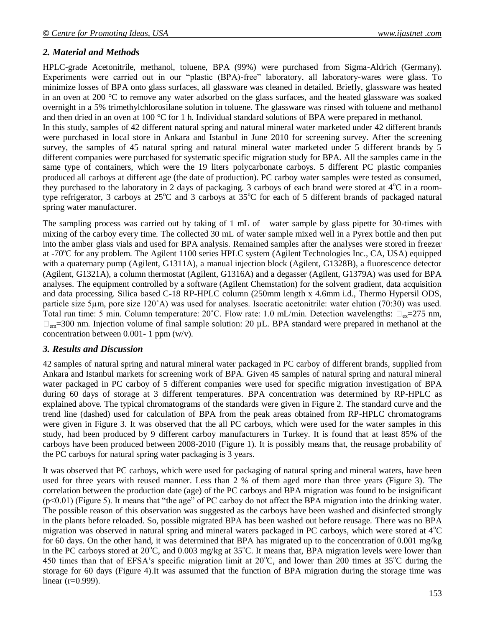#### *2. Material and Methods*

HPLC-grade Acetonitrile, methanol, toluene, BPA (99%) were purchased from Sigma-Aldrich (Germany). Experiments were carried out in our "plastic (BPA)-free" laboratory, all laboratory-wares were glass. To minimize losses of BPA onto glass surfaces, all glassware was cleaned in detailed. Briefly, glassware was heated in an oven at 200 °C to remove any water adsorbed on the glass surfaces, and the heated glassware was soaked overnight in a 5% trimethylchlorosilane solution in toluene. The glassware was rinsed with toluene and methanol and then dried in an oven at 100 °C for 1 h. Individual standard solutions of BPA were prepared in methanol. In this study, samples of 42 different natural spring and natural mineral water marketed under 42 different brands were purchased in local store in Ankara and Istanbul in June 2010 for screening survey. After the screening survey, the samples of 45 natural spring and natural mineral water marketed under 5 different brands by 5 different companies were purchased for systematic specific migration study for BPA. All the samples came in the same type of containers, which were the 19 liters polycarbonate carboys. 5 different PC plastic companies produced all carboys at different age (the date of production). PC carboy water samples were tested as consumed, they purchased to the laboratory in 2 days of packaging. 3 carboys of each brand were stored at  $4^{\circ}C$  in a roomtype refrigerator, 3 carboys at  $25^{\circ}$ C and 3 carboys at  $35^{\circ}$ C for each of 5 different brands of packaged natural spring water manufacturer.

The sampling process was carried out by taking of 1 mL of water sample by glass pipette for 30-times with mixing of the carboy every time. The collected 30 mL of water sample mixed well in a Pyrex bottle and then put into the amber glass vials and used for BPA analysis. Remained samples after the analyses were stored in freezer at -70<sup>o</sup>C for any problem. The Agilent 1100 series HPLC system (Agilent Technologies Inc., CA, USA) equipped with a quaternary pump (Agilent, G1311A), a manual injection block (Agilent, G1328B), a fluorescence detector (Agilent, G1321A), a column thermostat (Agilent, G1316A) and a degasser (Agilent, G1379A) was used for BPA analyses. The equipment controlled by a software (Agilent Chemstation) for the solvent gradient, data acquisition and data processing. Silica based C-18 RP-HPLC column (250mm length x 4.6mm i.d., Thermo Hypersil ODS, particle size 5µm, pore size 120˚A) was used for analyses. Isocratic acetonitrile: water elution (70:30) was used. Total run time: 5 min. Column temperature: 20°C. Flow rate: 1.0 mL/min. Detection wavelengths:  $\Box_{ex}=275$  nm,  $\Box_{em}$ =300 nm. Injection volume of final sample solution: 20  $\mu$ L. BPA standard were prepared in methanol at the concentration between 0.001- 1 ppm (w/v).

#### *3. Results and Discussion*

42 samples of natural spring and natural mineral water packaged in PC carboy of different brands, supplied from Ankara and Istanbul markets for screening work of BPA. Given 45 samples of natural spring and natural mineral water packaged in PC carboy of 5 different companies were used for specific migration investigation of BPA during 60 days of storage at 3 different temperatures. BPA concentration was determined by RP-HPLC as explained above. The typical chromatograms of the standards were given in Figure 2. The standard curve and the trend line (dashed) used for calculation of BPA from the peak areas obtained from RP-HPLC chromatograms were given in Figure 3. It was observed that the all PC carboys, which were used for the water samples in this study, had been produced by 9 different carboy manufacturers in Turkey. It is found that at least 85% of the carboys have been produced between 2008-2010 (Figure 1). It is possibly means that, the reusage probability of the PC carboys for natural spring water packaging is 3 years.

It was observed that PC carboys, which were used for packaging of natural spring and mineral waters, have been used for three years with reused manner. Less than 2 % of them aged more than three years (Figure 3). The correlation between the production date (age) of the PC carboys and BPA migration was found to be insignificant (p<0.01) (Figure 5). It means that "the age" of PC carboy do not affect the BPA migration into the drinking water. The possible reason of this observation was suggested as the carboys have been washed and disinfected strongly in the plants before reloaded. So, possible migrated BPA has been washed out before reusage. There was no BPA migration was observed in natural spring and mineral waters packaged in PC carboys, which were stored at  $4^{\circ}C$ for 60 days. On the other hand, it was determined that BPA has migrated up to the concentration of 0.001 mg/kg in the PC carboys stored at 20 $^{\circ}$ C, and 0.003 mg/kg at 35 $^{\circ}$ C. It means that, BPA migration levels were lower than 450 times than that of EFSA's specific migration limit at  $20^{\circ}$ C, and lower than 200 times at  $35^{\circ}$ C during the storage for 60 days (Figure 4).It was assumed that the function of BPA migration during the storage time was linear (r=0.999).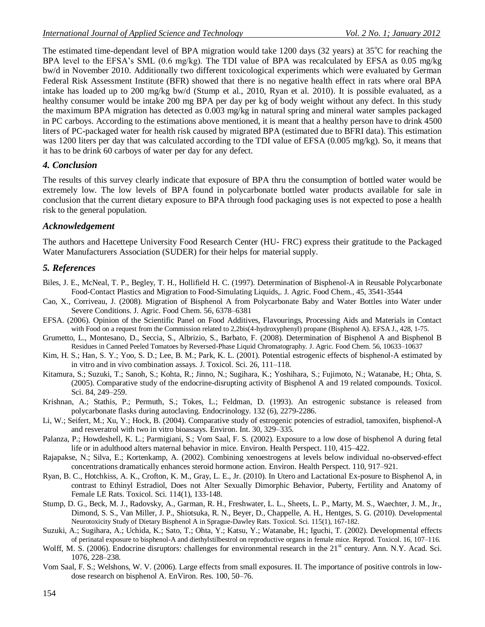The estimated time-dependant level of BPA migration would take 1200 days (32 years) at  $35^{\circ}$ C for reaching the BPA level to the EFSA's SML (0.6 mg/kg). The TDI value of BPA was recalculated by EFSA as 0.05 mg/kg bw/d in November 2010. Additionally two different toxicological experiments which were evaluated by German Federal Risk Assessment Institute (BFR) showed that there is no negative health effect in rats where oral BPA intake has loaded up to 200 mg/kg bw/d (Stump et al., 2010, Ryan et al. 2010). It is possible evaluated, as a healthy consumer would be intake 200 mg BPA per day per kg of body weight without any defect. In this study the maximum BPA migration has detected as 0.003 mg/kg in natural spring and mineral water samples packaged in PC carboys. According to the estimations above mentioned, it is meant that a healthy person have to drink 4500 liters of PC-packaged water for health risk caused by migrated BPA (estimated due to BFRI data). This estimation was 1200 liters per day that was calculated according to the TDI value of EFSA (0.005 mg/kg). So, it means that it has to be drink 60 carboys of water per day for any defect.

#### *4. Conclusion*

The results of this survey clearly indicate that exposure of BPA thru the consumption of bottled water would be extremely low. The low levels of BPA found in polycarbonate bottled water products available for sale in conclusion that the current dietary exposure to BPA through food packaging uses is not expected to pose a health risk to the general population.

## *Acknowledgement*

The authors and Hacettepe University Food Research Center (HU- FRC) express their gratitude to the Packaged Water Manufacturers Association (SUDER) for their helps for material supply.

## *5. References*

- Biles, J. E., McNeal, T. P., Begley, T. H., Hollifield H. C. (1997). Determination of Bisphenol-A in Reusable Polycarbonate Food-Contact Plastics and Migration to Food-Simulating Liquids,. J. Agric. Food Chem., 45, 3541-3544
- Cao, X., Corriveau, J. (2008). Migration of Bisphenol A from Polycarbonate Baby and Water Bottles into Water under Severe Conditions. J. Agric. Food Chem. 56, 6378–6381
- EFSA. (2006). Opinion of the Scientific Panel on Food Additives, Flavourings, Processing Aids and Materials in Contact with Food on a request from the Commission related to 2,2bis(4-hydroxyphenyl) propane (Bisphenol A). EFSA J., 428, 1-75.
- Grumetto, L., Montesano, D., Seccia, S., Albrizio, S., Barbato, F. (2008). Determination of Bisphenol A and Bisphenol B Residues in Canned Peeled Tomatoes by Reversed-Phase Liquid Chromatography. J. Agric. Food Chem. 56, 10633–10637
- Kim, H. S.; Han, S. Y.; Yoo, S. D.; Lee, B. M.; Park, K. L. (2001). Potential estrogenic effects of bisphenol-A estimated by in vitro and in vivo combination assays. J. Toxicol. Sci. 26, 111–118.
- Kitamura, S.; Suzuki, T.; Sanoh, S.; Kohta, R.; Jinno, N.; Sugihara, K.; Yoshihara, S.; Fujimoto, N.; Watanabe, H.; Ohta, S. (2005). Comparative study of the endocrine-disrupting activity of Bisphenol A and 19 related compounds. Toxicol. Sci. 84, 249–259.
- Krishnan, A.; Stathis, P.; Permuth, S.; Tokes, L.; Feldman, D. (1993). An estrogenic substance is released from polycarbonate flasks during autoclaving. Endocrinology. 132 (6), 2279-2286.
- Li, W.; Seifert, M.; Xu, Y.; Hock, B. (2004). Comparative study of estrogenic potencies of estradiol, tamoxifen, bisphenol-A and resveratrol with two in vitro bioassays. Environ. Int. 30, 329–335.
- Palanza, P.; Howdeshell, K. L.; Parmigiani, S.; Vom Saal, F. S. (2002). Exposure to a low dose of bisphenol A during fetal life or in adulthood alters maternal behavior in mice. Environ. Health Perspect. 110, 415–422.
- Rajapakse, N.; Silva, E.; Kortenkamp, A. (2002). Combining xenoestrogens at levels below individual no-observed-effect concentrations dramatically enhances steroid hormone action. Environ. Health Perspect. 110, 917–921.
- Ryan, B. C., Hotchkiss, A. K., Crofton, K. M., Gray, L. E., Jr. (2010). In Utero and Lactational Ex-posure to Bisphenol A, in contrast to Ethinyl Estradiol, Does not Alter Sexually Dimorphic Behavior, Puberty, Fertility and Anatomy of Female LE Rats. Toxicol. Sci. 114(1), 133-148.
- Stump, D. G., Beck, M. J., Radovsky, A., Garman, R. H., Freshwater, L. L., Sheets, L. P., Marty, M. S., Waechter, J. M., Jr., Dimond, S. S., Van Miller, J. P., Shiotsuka, R. N., Beyer, D., Chappelle, A. H., Hentges, S. G. (2010). Developmental Neurotoxicity Study of Dietary Bisphenol A in Sprague-Dawley Rats. Toxicol. Sci. 115(1), 167-182.
- Suzuki, A.; Sugihara, A.; Uchida, K.; Sato, T.; Ohta, Y.; Katsu, Y.; Watanabe, H.; Iguchi, T. (2002). Developmental effects of perinatal exposure to bisphenol-A and diethylstilbestrol on reproductive organs in female mice. Reprod. Toxicol. 16, 107–116.
- Wolff, M. S. (2006). Endocrine disruptors: challenges for environmental research in the 21<sup>st</sup> century. Ann. N.Y. Acad. Sci. 1076, 228–238.
- Vom Saal, F. S.; Welshons, W. V. (2006). Large effects from small exposures. II. The importance of positive controls in lowdose research on bisphenol A. EnViron. Res. 100, 50–76.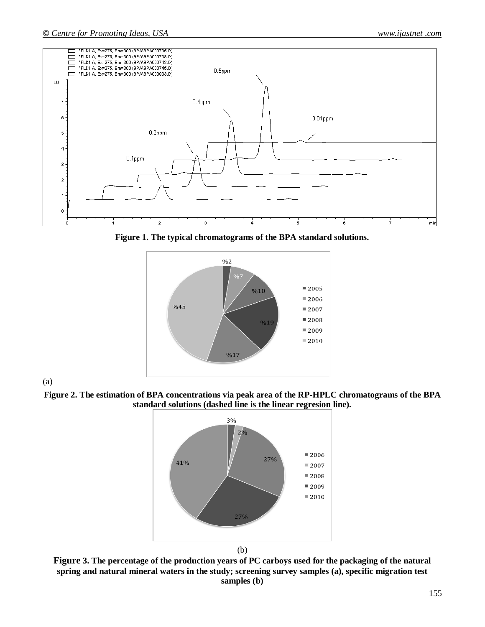

**Figure 1. The typical chromatograms of the BPA standard solutions.**



(a)

**Figure 2. The estimation of BPA concentrations via peak area of the RP-HPLC chromatograms of the BPA standard solutions (dashed line is the linear regresion line).**



**Figure 3. The percentage of the production years of PC carboys used for the packaging of the natural spring and natural mineral waters in the study; screening survey samples (a), specific migration test samples (b)**